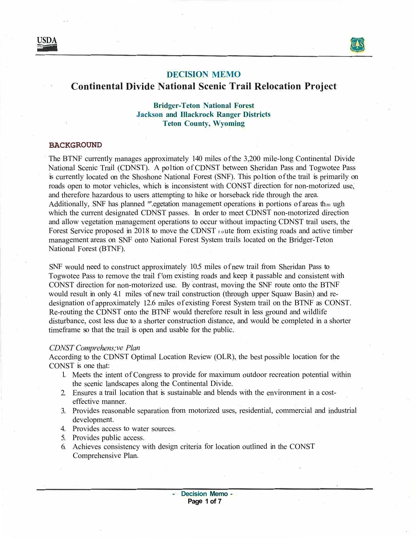



## **DECISION MEMO**

# **Continental Divide National Scenic Trail Relocation Project**

**Bridger-Teton National Forest Jackson and Illackrock Ranger Districts Teton County, Wyoming** 

### **BACKGROUND**

The BTNF currently manages approximately 140 miles of the 3,200 mile-long Continental Divide National Scenic Trail (CDNST). A po1tion of CDNST between Sheridan Pass and Togwotee Pass is currently located on the Shoshone National Forest (SNF). This po1tion of the trail is primarily on roads open to motor vehicles, which is inconsistent with CONST direction for non-motorized use, and therefore hazardous to users attempting to hike or horseback ride through the area. Additionally, SNF has planned "'.egetation management operations in portions of areas th<sub>ro</sub> ugh which the current designated CDNST passes. In order to meet CDNST non-motorized direction and allow vegetation management operations to occur without impacting CDNST trail users, the Forest Service proposed in 2018 to move the CDNST route from existing roads and active timber management areas on SNF onto National Forest System trails located on the Bridger-Teton National Forest (BTNF).

SNF would need to construct approximately 10.5 miles of new trail from Sheridan Pass to Togwotee Pass to remove the trail f<sup>t</sup>om existing roads and keep it passable and consistent with CONST direction for non-motorized use. By contrast, moving the SNF route onto the BTNF would result in only 4.1 miles of new trail construction (through upper Squaw Basin) and redesignation of approximately 12.6 miles of existing Forest System trail on the BTNF as CONST. Re-routing the CDNST onto the BTNF would therefore result in less ground and wildlife disturbance, cost less due to a shorter construction distance, and would be completed in a shorter timeframe so that the trail is open and usable for the public.

#### *CDNST Comprehens;ve Plan*

According to the CDNST Optimal Location Review (OLR), the best possible location for the CONST is one that:

- 1. Meets the intent of Congress to provide for maximum outdoor recreation potential within the scenic landscapes along the Continental Divide.
- 2. Ensures a trail location that is sustainable and blends with the environment in a costeffective manner.
- 3. Provides reasonable separation from motorized uses, residential, commercial and industrial development.
- 4. Provides access to water sources.
- 5. Provides public access.
- 6. Achieves consistency with design criteria for location outlined in the CONST Comprehensive Plan.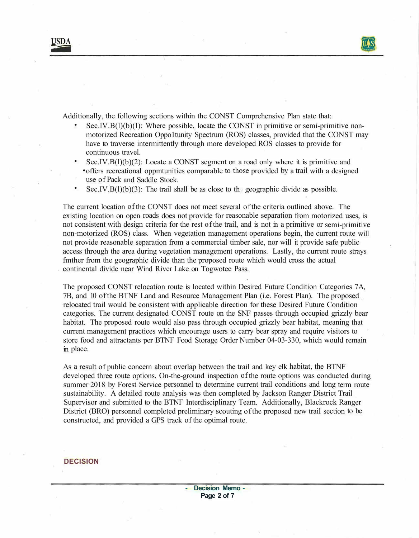**USDA** -



Additionally, the following sections within the CONST Comprehensive Plan state that:

- $\text{Sec.IV.B(1)}(b)(I)$ : Where possible, locate the CONST in primitive or semi-primitive nonmotorized Recreation Oppo1tunity Spectrum (ROS) classes, provided that the CONST may have to traverse intermittently through more developed ROS classes to provide for continuous travel.
- Sec.IV.B( $l$ )( $b$ )( $2$ ): Locate a CONST segment on a road only where it is primitive and • offers recreational oppmtunities comparable to those provided by a trail with a designed use of Pack and Saddle Stock.
- Sec.IV.B( $1)(b)(3)$ : The trail shall be as close to the geographic divide as possible.

The current location of the CONST does not meet several of the criteria outlined above. The existing location on open roads does not provide for reasonable separation from motorized uses, is not consistent with design criteria for the rest of the trail, and is not in a primitive or semi-primitive non-motorized (ROS) class. When vegetation management operations begin, the current route will not provide reasonable separation from a commercial timber sale, nor will it provide safe public access through the area during vegetation management operations. Lastly, the current route strays fmther from the geographic divide than the proposed route which would cross the actual continental divide near Wind River Lake on Togwotee Pass.

The proposed CONST relocation route is located within Desired Future Condition Categories 7A, 7B, and 10 of the BTNF Land and Resource Management Plan (i.e. Forest Plan). The proposed relocated trail would be consistent with applicable direction for these Desired Future Condition categories. The current designated CONST route on the SNF passes through occupied grizzly bear habitat. The proposed route would also pass through occupied grizzly bear habitat, meaning that current management practices which encourage users to carry bear spray and require visitors to store food and attractants per BTNF Food Storage Order Number 04-03-330, which would remain in place.

As a result of public concern about overlap between the trail and key elk habitat, the BTNF developed three route options. On-the-ground inspection of the route options was conducted during summer 2018 by Forest Service personnel to determine current trail conditions and long term route sustainability. A detailed route analysis was then completed by Jackson Ranger District Trail Supervisor and submitted to the BTNF Interdisciplinary Team. Additionally, Blackrock Ranger District (BRO) personnel completed preliminary scouting of the proposed new trail section to be constructed, and provided a GPS track of the optimal route.

### **DECISION**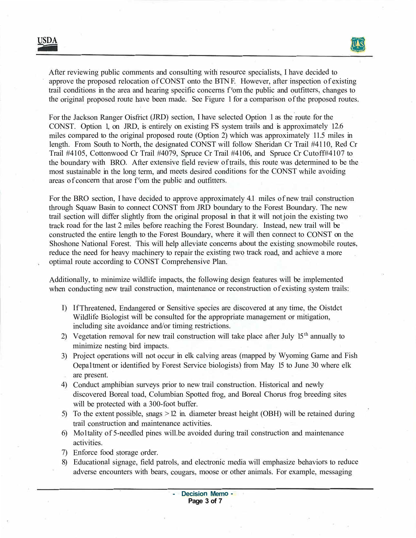After reviewing public comments and consulting with resource specialists, I have decided to approve the proposed relocation of CONST onto the BTN F. However, after inspection of existing trail conditions in the area and hearing specific concerns f <sup>r</sup>om the public and outfitters, changes to the original proposed route have been made. See Figure 1 for a comparison of the proposed routes.

For the Jackson Ranger Oisfrict (JRD) section, I have selected Option 1 as the route for the CONST. Option 1, on JRD, is entirely on existing FS system trails and is approximately 12.6 miles compared to the original proposed route (Option 2) which was approximately 11.5 miles in length. From South to North, the designated CONST will follow Sheridan Cr Trail #4110, Red Cr Trail #4105, Cottonwood Cr Trail #4079, Spruce Cr Trail #4106, and Spruce Cr Cutoff#4107 to the boundary with BRO. After extensive field review of trails, this route was determined to be the most sustainable in the long term, and meets desired conditions for the CONST while avoiding areas of concern that arose f <sup>r</sup>om the public and outfitters.

For the BRO section, I have decided to approve approximately 4.1 miles of new trail construction through Squaw Basin to connect CONST from JRD boundary to the Forest Boundary. The new trail section will differ slightly from the original proposal in that it will not join the existing two track road for the last 2 miles before reaching the Forest Boundary. Instead, new trail will be constructed the entire length to the Forest Boundary, where it will then connect to CONST on the Shoshone National Forest. This will help alleviate concerns about the existing snowmobile routes, reduce the need for heavy machinery to repair the existing two track road, and achieve a more optimal route according to CONST Comprehensive Plan.

Additionally, to minimize wildlife impacts, the following design features will be implemented when conducting new trail construction, maintenance or reconstruction of existing system trails:

- I) If Threatened, Endangered or Sensitive species are discovered at any time, the Oistdct Wildlife Biologist will be consulted for the appropriate management or mitigation, including site avoidance and/or timing restrictions.
- 2) Vegetation removal for new trail construction will take place after July  $15<sup>th</sup>$  annually to minimize nesting bird impacts.
- 3) Project operations will not occur in elk calving areas (mapped by Wyoming Game and Fish Oepa1tment or identified by Forest Service biologists) from May 15 to June 30 where elk are present.
- 4) Conduct amphibian surveys prior to new trail construction. Historical and newly discovered Boreal toad, Columbian Spotted frog, and Boreal Chorus frog breeding sites will be protected with a 300-foot buffer.
- 5) To the extent possible, snags  $>12$  in. diameter breast height (OBH) will be retained during trail construction and maintenance activities.
- 6) Mo1tality of 5-needled pines will.be avoided during trail construction and maintenance activities.
- 7) Enforce food storage order.
- 8) Educational signage, field patrols, and electronic media will emphasize behaviors to reduce adverse encounters with bears, cougars, moose or other animals. For example, messaging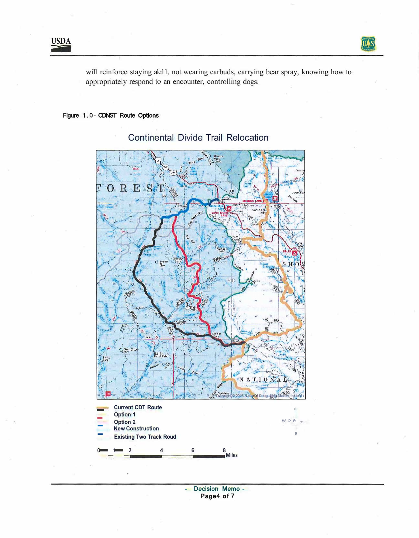

will reinforce staying ale11, not wearing earbuds, carrying bear spray, knowing how to appropriately respond to an encounter, controlling dogs.

## Figure 1.0- CDNST Route Options



# Continental Divide Trail Relocation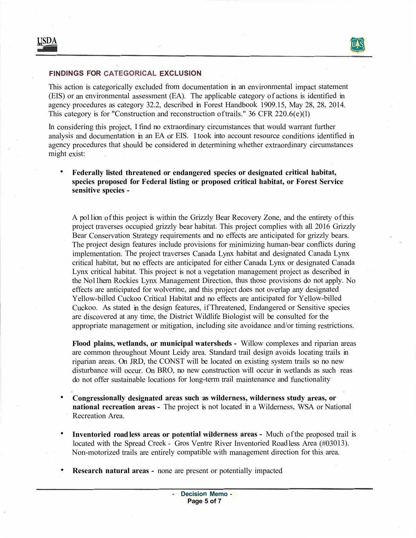

### **FINDINGS FOR CATEGORICAL EXCLUSION**

This action is categorically excluded from documentation in an environmental impact statement (EIS) or an environmental assessment (EA). The applicable category of actions is identified in agency procedures as category 32.2, described in Forest Handbook 1909.15, May 28, 28, 2014. This category is for "Construction and reconstruction of trails." 36 CFR 220.6(e)(l)

In considering this project, I find no extraordinary circumstances that would warrant further analysis and documentation in an EA or EIS. I took into account resource conditions identified in agency procedures that should be considered in determining whether extraordinary circumstances might exist:

**• Federally listed threatened or endangered species or designated critical habitat, species proposed for Federal listing or proposed critical habitat, or Forest Service ' · sensitive species -**

A po11ion of this project is within the Grizzly Bear Recovery Zone, and the entirety of this project traverses occupied grizzly bear habitat. This project complies with all 2016 Grizzly Bear Conservation Strategy requirements and no effects are anticipated for grizzly bears. The project design features include provisions for minimizing human-bear conflicts during implementation. The project traverses Canada Lynx habitat and designated Canada Lynx critical habitat, but no effects are anticipated for either Canada Lynx or designated Canada Lynx critical habitat. This project is not a vegetation management project as described in the No11hern Rockies Lynx Management Direction, thus those provisions do not apply. No effects are anticipated for wolverine, and this project does not overlap any designated Yellow-billed Cuckoo Critical Habitat and no effects are anticipated for Yellow-billed Cuckoo. As stated in the design features, if Threatened, Endangered or Sensitive species are discovered at any time, the District Wildlife Biologist will be consulted for the appropriate management or mitigation, including site avoidance and/or timing restrictions.

**Flood plains, wetlands, or municipal watersheds -** Willow complexes and riparian areas are common throughout Mount Leidy area. Standard trail design avoids locating trails in riparian areas. On JRD, the CONST will be located on existing system trails so no new disturbance will occur. On BRO, no new construction will occur in wetlands as such reas do not offer sustainable locations for long-term trail maintenance and functionality

- **• Congressionally designated areas such as wilderness, wilderness study areas, or national recreation areas -** The project is not located in a Wilderness, WSA or National Recreation Area.
- **• Inventoried road less areas or potential wilderness areas -** Much of the proposed trail is located with the Spread Creek - Gros Ventre River Inventoried Road less Area (#03013). Non-motorized trails are entirely compatible with management direction for this area.
- **•Research natural areas -** none are present or potentially impacted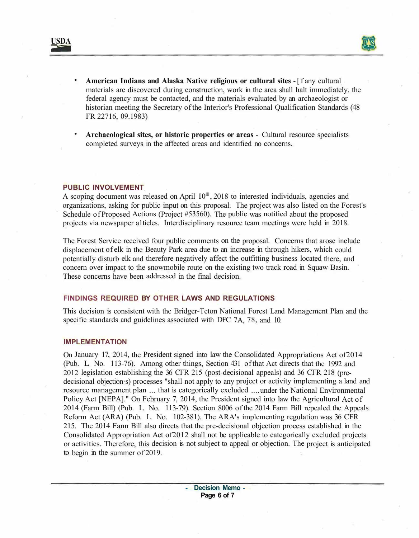

- **American Indians and Alaska Native religious or cultural sites** -[f any cultural materials are discovered during construction, work in the area shall halt immediately, the federal agency must be contacted, and the materials evaluated by an archaeologist or historian meeting the Secretary of the Interior's Professional Qualification Standards (48 FR 22716, 09.1983)
- **Archaeological sites, or historic properties or areas**  Cultural resource specialists completed surveys in the affected areas and identified no concerns.

### **PUBLIC INVOLVEMENT**

A scoping document was released on April  $I0<sup>III</sup>$ , 2018 to interested individuals, agencies and organizations, asking for public input on this proposal. The project was also listed on the Forest's Schedule of Proposed Actions (Project #53560). The public was notified about the proposed projects via newspaper a1ticles. Interdisciplinary resource team meetings were held in 2018.

The Forest Service received four public comments on the proposal. Concerns that arose include displacement of elk in the Beauty Park area due to an increase in through hikers, which could potentially disturb elk and therefore negatively affect the outfitting business located there, and concern over impact to the snowmobile route on the existing two track road in Squaw Basin. These concerns have been addressed in the final decision.

# **FINDINGS REQUIRED BY OTHER LAWS AND REGULATIONS**

This decision is consistent with the Bridger-Teton National Forest Land Management Plan and the specific standards and guidelines associated with DFC 7A, 78, and 10.

### **IMPLEMENTATION**

On January 17, 2014, the President signed into law the Consolidated Appropriations Act of2014 (Pub. L. No. 113-76). Among other things, Section 431 of that Act directs that the 1992 and 2012 legislation establishing the 36 CFR 215 (post-decisional appeals) and 36 CFR 218 (predecisional objection·s) processes "shall not apply to any project or activity implementing a land and resource management plan ... that is categorically excluded .... under the National Environmental Policy Act [NEPA]." On February 7, 2014, the President signed into law the Agricultural Act of 2014 (Farm Bill) (Pub. L. No. 113-79). Section 8006 of the 2014 Farm Bill repealed the Appeals Reform Act (ARA) (Pub. L. No. 102-381). The ARA's implementing regulation was 36 CFR 215. The 2014 Fann Bill also directs that the pre-decisional objection process established in the Consolidated Appropriation Act of2012 shall not be applicable to categorically excluded projects or activities. Therefore, this decision is not subject to appeal or objection. The project is anticipated to begin in the summer of 2019.